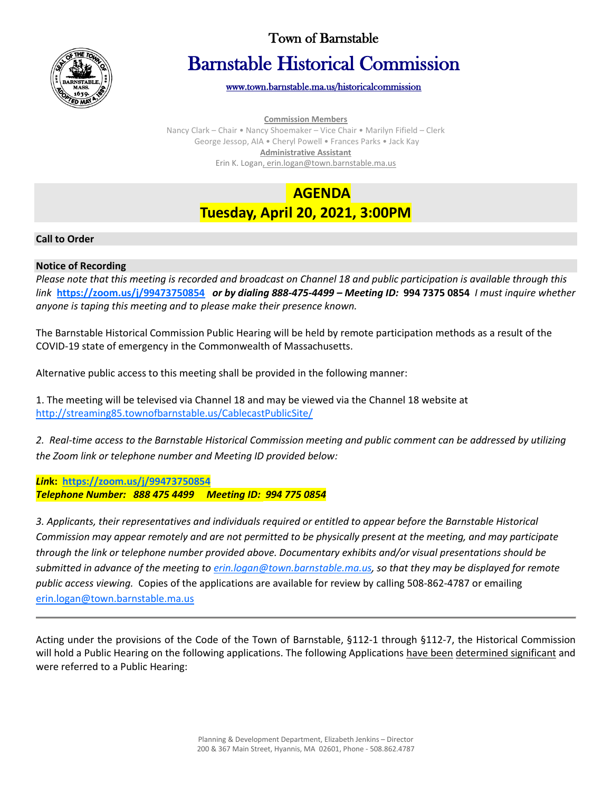

## Town of Barnstable

# Barnstable Historical Commission

[www.town.barnstable.ma.us/historicalcommission](http://www.town.barnstable.ma.us/historicalcommission) 

**Commission Members**

Nancy Clark – Chair • Nancy Shoemaker – Vice Chair • Marilyn Fifield – Clerk George Jessop, AIA • Cheryl Powell • Frances Parks • Jack Kay **Administrative Assistant** Erin K. Logan, erin.logan@town.barnstable.ma.us

# **AGENDA Tuesday, April 20, 2021, 3:00PM**

### **Call to Order**

#### **Notice of Recording**

*Please note that this meeting is recorded and broadcast on Channel 18 and public participation is available through this link* **<https://zoom.us/j/99473750854>** *or by dialing 888-475-4499 – Meeting ID:* **994 7375 0854** *I must inquire whether anyone is taping this meeting and to please make their presence known.*

The Barnstable Historical Commission Public Hearing will be held by remote participation methods as a result of the COVID-19 state of emergency in the Commonwealth of Massachusetts.

Alternative public access to this meeting shall be provided in the following manner:

1. The meeting will be televised via Channel 18 and may be viewed via the Channel 18 website at <http://streaming85.townofbarnstable.us/CablecastPublicSite/>

*2. Real-time access to the Barnstable Historical Commission meeting and public comment can be addressed by utilizing the Zoom link or telephone number and Meeting ID provided below:*

*Lin***k:<https://zoom.us/j/99473750854>** *Telephone Number: 888 475 4499 Meeting ID: 994 775 0854*

*3. Applicants, their representatives and individuals required or entitled to appear before the Barnstable Historical Commission may appear remotely and are not permitted to be physically present at the meeting, and may participate through the link or telephone number provided above. Documentary exhibits and/or visual presentations should be submitted in advance of the meeting t[o erin.logan@town.barnstable.ma.us,](mailto:erin.logan@town.barnstable.ma.us) so that they may be displayed for remote public access viewing.* Copies of the applications are available for review by calling 508-862-4787 or emailing [erin.logan@town.barnstable.ma.us](mailto:erin.logan@town.barnstable.ma.us)

Acting under the provisions of the Code of the Town of Barnstable, §112-1 through §112-7, the Historical Commission will hold a Public Hearing on the following applications. The following Applications have been determined significant and were referred to a Public Hearing: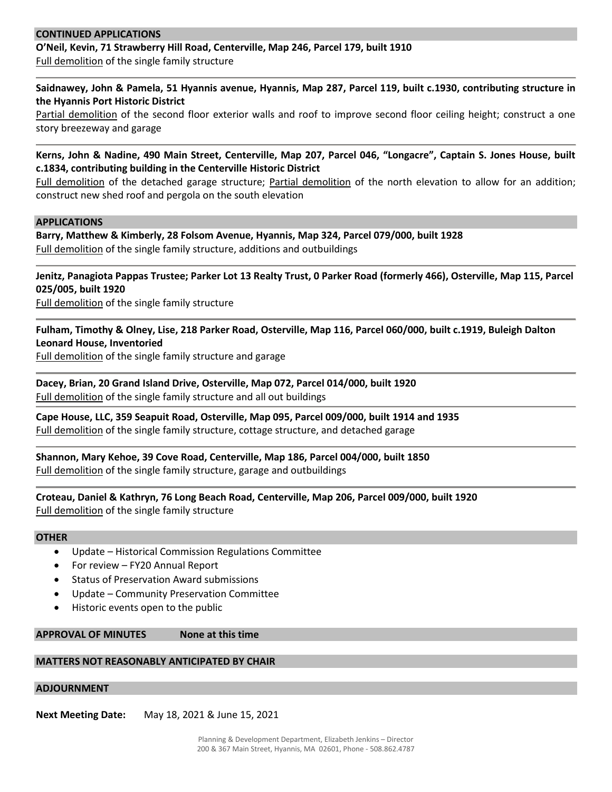#### **CONTINUED APPLICATIONS**

### **O'Neil, Kevin, 71 Strawberry Hill Road, Centerville, Map 246, Parcel 179, built 1910** Full demolition of the single family structure

**Saidnawey, John & Pamela, 51 Hyannis avenue, Hyannis, Map 287, Parcel 119, built c.1930, contributing structure in the Hyannis Port Historic District**

Partial demolition of the second floor exterior walls and roof to improve second floor ceiling height; construct a one story breezeway and garage

**Kerns, John & Nadine, 490 Main Street, Centerville, Map 207, Parcel 046, "Longacre", Captain S. Jones House, built c.1834, contributing building in the Centerville Historic District**

Full demolition of the detached garage structure; Partial demolition of the north elevation to allow for an addition; construct new shed roof and pergola on the south elevation

#### **APPLICATIONS**

**Barry, Matthew & Kimberly, 28 Folsom Avenue, Hyannis, Map 324, Parcel 079/000, built 1928** Full demolition of the single family structure, additions and outbuildings

**Jenitz, Panagiota Pappas Trustee; Parker Lot 13 Realty Trust, 0 Parker Road (formerly 466), Osterville, Map 115, Parcel 025/005, built 1920**

Full demolition of the single family structure

**Fulham, Timothy & Olney, Lise, 218 Parker Road, Osterville, Map 116, Parcel 060/000, built c.1919, Buleigh Dalton Leonard House, Inventoried**

Full demolition of the single family structure and garage

**Dacey, Brian, 20 Grand Island Drive, Osterville, Map 072, Parcel 014/000, built 1920** Full demolition of the single family structure and all out buildings

**Cape House, LLC, 359 Seapuit Road, Osterville, Map 095, Parcel 009/000, built 1914 and 1935** Full demolition of the single family structure, cottage structure, and detached garage

**Shannon, Mary Kehoe, 39 Cove Road, Centerville, Map 186, Parcel 004/000, built 1850** Full demolition of the single family structure, garage and outbuildings

**Croteau, Daniel & Kathryn, 76 Long Beach Road, Centerville, Map 206, Parcel 009/000, built 1920** Full demolition of the single family structure

#### **OTHER**

- Update Historical Commission Regulations Committee
- For review FY20 Annual Report
- Status of Preservation Award submissions
- Update Community Preservation Committee
- Historic events open to the public

**APPROVAL OF MINUTES None at this time**

#### **MATTERS NOT REASONABLY ANTICIPATED BY CHAIR**

#### **ADJOURNMENT**

**Next Meeting Date:** May 18, 2021 & June 15, 2021